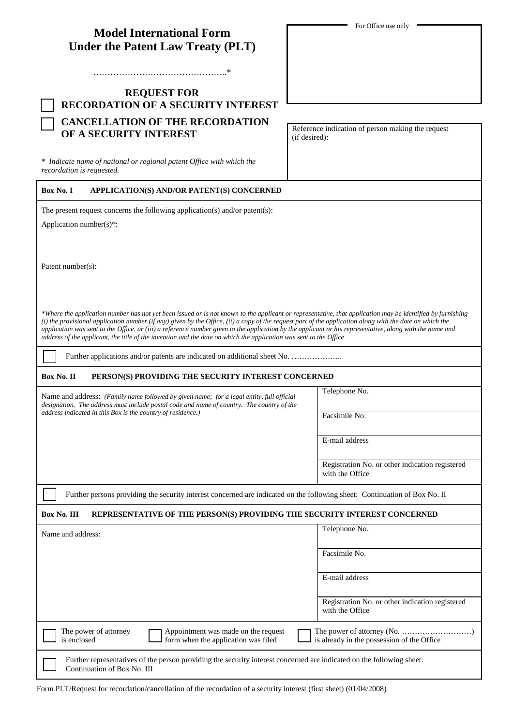| <b>Model International Form</b>   |  |
|-----------------------------------|--|
| Under the Patent Law Treaty (PLT) |  |

………………………………………..\*

## **REQUEST FOR RECORDATION OF A SECURITY INTEREST CANCELLATION OF THE RECORDATION OF A SECURITY INTEREST**

\* *Indicate name of national or regional patent Office with which the recordation is requested.*

**Box No. I APPLICATION(S) AND/OR PATENT(S) CONCERNED**

The present request concerns the following application(s) and/or patent(s):

Application number(s)\*:

Patent number(s):

*\*Where the application number has not yet been issued or is not known to the applicant or representative, that application may be identified by furnishing (i) the provisional application number (if any) given by the Office, (ii) a copy of the request part of the application along with the date on which the application was sent to the Office, or (iii) a reference number given to the application by the applicant or his representative, along with the name and address of the applicant, the title of the invention and the date on which the application was sent to the Office*

Further applications and/or patents are indicated on additional sheet No. …………………

## **Box No. II PERSON(S) PROVIDING THE SECURITY INTEREST CONCERNED**

Name and address: *(Family name followed by given name; for a legal entity, full official designation. The address must include postal code and name of country. The country of the address indicated in this Box is the country of residence.)*

Telephone No.

Facsimile No.

E-mail address

Registration No. or other indication registered with the Office

Further persons providing the security interest concerned are indicated on the following sheet: Continuation of Box No. II

## **Box No. III REPRESENTATIVE OF THE PERSON(S) PROVIDING THE SECURITY INTEREST CONCERNED**

| Name and address:                    |                                                                                                                       | Telephone No.                                                      |
|--------------------------------------|-----------------------------------------------------------------------------------------------------------------------|--------------------------------------------------------------------|
|                                      |                                                                                                                       | Facsimile No.                                                      |
|                                      |                                                                                                                       | E-mail address                                                     |
|                                      |                                                                                                                       | Registration No. or other indication registered<br>with the Office |
| The power of attorney<br>is enclosed | Appointment was made on the request<br>form when the application was filed                                            | is already in the possession of the Office                         |
| $Contribution of Der M_2. III.$      | Further representatives of the person providing the security interest concerned are indicated on the following sheet: |                                                                    |

For Office use only

Reference indication of person making the request (if desired):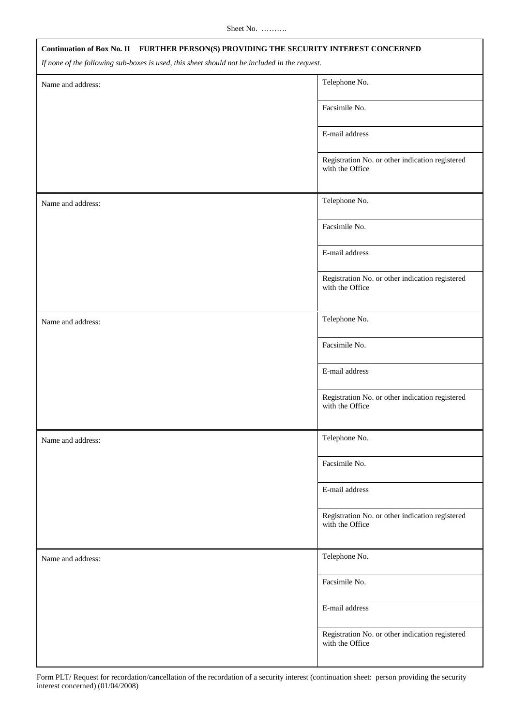| Continuation of Box No. II FURTHER PERSON(S) PROVIDING THE SECURITY INTEREST CONCERNED        |                                                                    |  |
|-----------------------------------------------------------------------------------------------|--------------------------------------------------------------------|--|
| If none of the following sub-boxes is used, this sheet should not be included in the request. |                                                                    |  |
| Name and address:                                                                             | Telephone No.                                                      |  |
|                                                                                               | Facsimile No.                                                      |  |
|                                                                                               | E-mail address                                                     |  |
|                                                                                               | Registration No. or other indication registered<br>with the Office |  |
| Name and address:                                                                             | Telephone No.                                                      |  |
|                                                                                               | Facsimile No.                                                      |  |
|                                                                                               | E-mail address                                                     |  |
|                                                                                               | Registration No. or other indication registered<br>with the Office |  |
| Name and address:                                                                             | Telephone No.                                                      |  |
|                                                                                               | Facsimile No.                                                      |  |
|                                                                                               | E-mail address                                                     |  |
|                                                                                               | Registration No. or other indication registered<br>with the Office |  |
| Name and address:                                                                             | Telephone No.                                                      |  |
|                                                                                               | Facsimile No.                                                      |  |
|                                                                                               | E-mail address                                                     |  |
|                                                                                               | Registration No. or other indication registered<br>with the Office |  |
| Name and address:                                                                             | Telephone No.                                                      |  |
|                                                                                               | Facsimile No.                                                      |  |
|                                                                                               | E-mail address                                                     |  |
|                                                                                               | Registration No. or other indication registered<br>with the Office |  |

Form PLT/ Request for recordation/cancellation of the recordation of a security interest (continuation sheet: person providing the security interest concerned) (01/04/2008)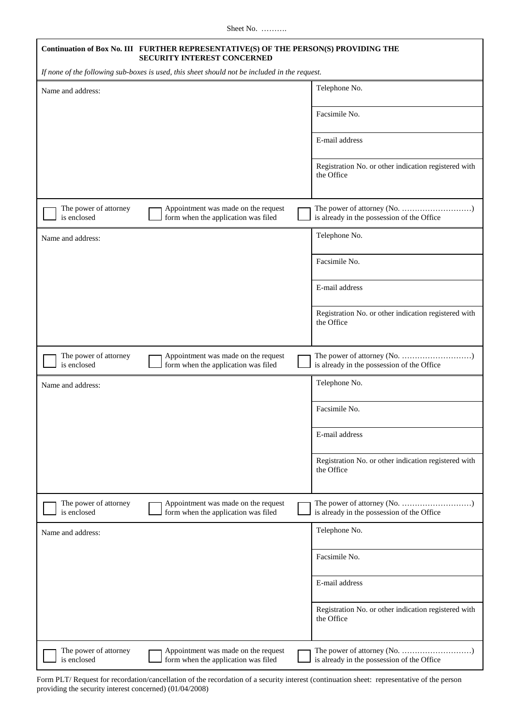| Continuation of Box No. III FURTHER REPRESENTATIVE(S) OF THE PERSON(S) PROVIDING THE<br>SECURITY INTEREST CONCERNED |                                                                    |  |
|---------------------------------------------------------------------------------------------------------------------|--------------------------------------------------------------------|--|
| If none of the following sub-boxes is used, this sheet should not be included in the request.                       |                                                                    |  |
| Name and address:                                                                                                   | Telephone No.                                                      |  |
|                                                                                                                     | Facsimile No.                                                      |  |
|                                                                                                                     | E-mail address                                                     |  |
|                                                                                                                     | Registration No. or other indication registered with<br>the Office |  |
| The power of attorney<br>Appointment was made on the request<br>is enclosed<br>form when the application was filed  | is already in the possession of the Office                         |  |
| Name and address:                                                                                                   | Telephone No.                                                      |  |
|                                                                                                                     | Facsimile No.                                                      |  |
|                                                                                                                     | E-mail address                                                     |  |
|                                                                                                                     | Registration No. or other indication registered with<br>the Office |  |
| The power of attorney<br>Appointment was made on the request<br>is enclosed<br>form when the application was filed  | is already in the possession of the Office                         |  |
| Name and address:                                                                                                   | Telephone No.                                                      |  |
|                                                                                                                     | Facsimile No.                                                      |  |
|                                                                                                                     | E-mail address                                                     |  |
|                                                                                                                     | Registration No. or other indication registered with<br>the Office |  |
| The power of attorney<br>Appointment was made on the request<br>is enclosed<br>form when the application was filed  | is already in the possession of the Office                         |  |
| Name and address:                                                                                                   | Telephone No.                                                      |  |
|                                                                                                                     | Facsimile No.                                                      |  |
|                                                                                                                     | E-mail address                                                     |  |
|                                                                                                                     | Registration No. or other indication registered with<br>the Office |  |
| The power of attorney<br>Appointment was made on the request<br>is enclosed<br>form when the application was filed  | is already in the possession of the Office                         |  |

Form PLT/ Request for recordation/cancellation of the recordation of a security interest (continuation sheet: representative of the person providing the security interest concerned) (01/04/2008)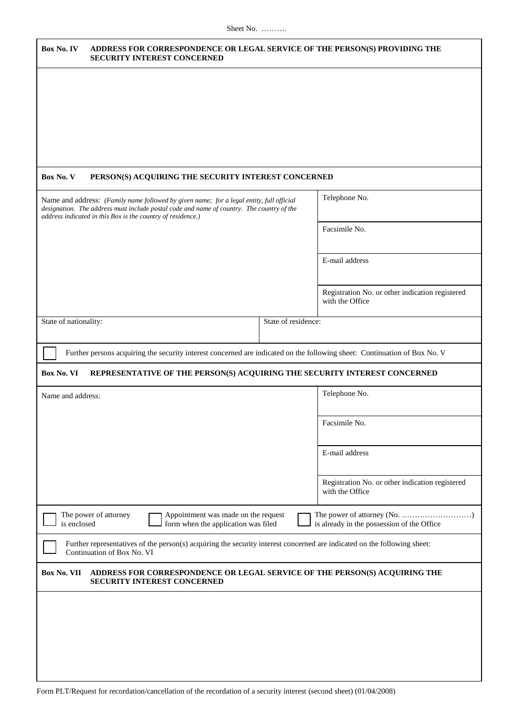| Box No. IV                                                                                                                                                                                             |                                                             | <b>SECURITY INTEREST CONCERNED</b>                                         |                     | ADDRESS FOR CORRESPONDENCE OR LEGAL SERVICE OF THE PERSON(S) PROVIDING THE                                                |
|--------------------------------------------------------------------------------------------------------------------------------------------------------------------------------------------------------|-------------------------------------------------------------|----------------------------------------------------------------------------|---------------------|---------------------------------------------------------------------------------------------------------------------------|
|                                                                                                                                                                                                        |                                                             |                                                                            |                     |                                                                                                                           |
| Box No. V                                                                                                                                                                                              |                                                             | PERSON(S) ACQUIRING THE SECURITY INTEREST CONCERNED                        |                     |                                                                                                                           |
| Telephone No.<br>Name and address: (Family name followed by given name; for a legal entity, full official<br>designation. The address must include postal code and name of country. The country of the |                                                             |                                                                            |                     |                                                                                                                           |
|                                                                                                                                                                                                        | address indicated in this Box is the country of residence.) |                                                                            |                     | Facsimile No.                                                                                                             |
|                                                                                                                                                                                                        |                                                             |                                                                            |                     | E-mail address                                                                                                            |
|                                                                                                                                                                                                        |                                                             |                                                                            |                     | Registration No. or other indication registered<br>with the Office                                                        |
| State of nationality:                                                                                                                                                                                  |                                                             |                                                                            | State of residence: |                                                                                                                           |
|                                                                                                                                                                                                        |                                                             |                                                                            |                     | Further persons acquiring the security interest concerned are indicated on the following sheet: Continuation of Box No. V |
| Box No. VI                                                                                                                                                                                             |                                                             |                                                                            |                     | REPRESENTATIVE OF THE PERSON(S) ACQUIRING THE SECURITY INTEREST CONCERNED                                                 |
| Name and address:                                                                                                                                                                                      |                                                             |                                                                            |                     | Telephone No.                                                                                                             |
|                                                                                                                                                                                                        |                                                             |                                                                            |                     | Facsimile No.                                                                                                             |
|                                                                                                                                                                                                        |                                                             |                                                                            |                     | E-mail address                                                                                                            |
|                                                                                                                                                                                                        |                                                             |                                                                            |                     | Registration No. or other indication registered<br>with the Office                                                        |
| is enclosed                                                                                                                                                                                            | The power of attorney                                       | Appointment was made on the request<br>form when the application was filed |                     | is already in the possession of the Office                                                                                |
|                                                                                                                                                                                                        | Continuation of Box No. VI                                  |                                                                            |                     | Further representatives of the person(s) acquiring the security interest concerned are indicated on the following sheet:  |
| Box No. VII                                                                                                                                                                                            |                                                             | <b>SECURITY INTEREST CONCERNED</b>                                         |                     | ADDRESS FOR CORRESPONDENCE OR LEGAL SERVICE OF THE PERSON(S) ACQUIRING THE                                                |
|                                                                                                                                                                                                        |                                                             |                                                                            |                     |                                                                                                                           |
|                                                                                                                                                                                                        |                                                             |                                                                            |                     |                                                                                                                           |
|                                                                                                                                                                                                        |                                                             |                                                                            |                     |                                                                                                                           |
|                                                                                                                                                                                                        |                                                             |                                                                            |                     |                                                                                                                           |

Form PLT/Request for recordation/cancellation of the recordation of a security interest (second sheet) (01/04/2008)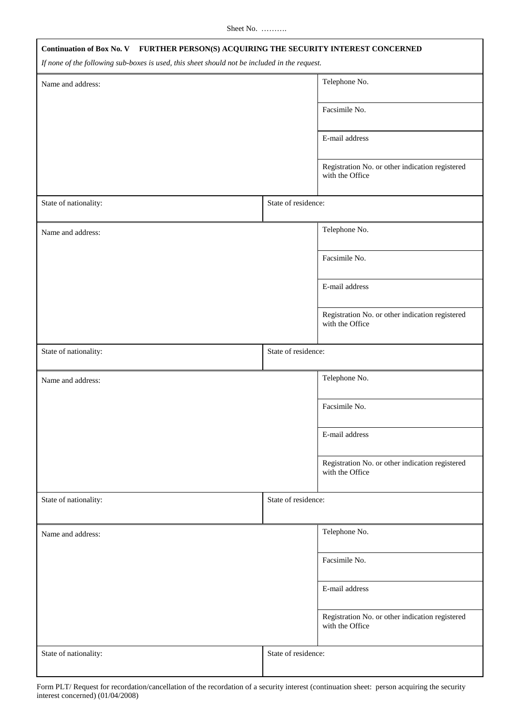| Continuation of Box No. V FURTHER PERSON(S) ACQUIRING THE SECURITY INTEREST CONCERNED<br>If none of the following sub-boxes is used, this sheet should not be included in the request. |                     |                                                                    |  |
|----------------------------------------------------------------------------------------------------------------------------------------------------------------------------------------|---------------------|--------------------------------------------------------------------|--|
| Name and address:                                                                                                                                                                      |                     | Telephone No.                                                      |  |
|                                                                                                                                                                                        |                     | Facsimile No.                                                      |  |
|                                                                                                                                                                                        |                     | E-mail address                                                     |  |
|                                                                                                                                                                                        |                     | Registration No. or other indication registered<br>with the Office |  |
| State of nationality:                                                                                                                                                                  | State of residence: |                                                                    |  |
| Name and address:                                                                                                                                                                      |                     | Telephone No.                                                      |  |
|                                                                                                                                                                                        |                     | Facsimile No.                                                      |  |
|                                                                                                                                                                                        |                     | E-mail address                                                     |  |
|                                                                                                                                                                                        |                     | Registration No. or other indication registered<br>with the Office |  |
| State of nationality:                                                                                                                                                                  | State of residence: |                                                                    |  |
| Name and address:                                                                                                                                                                      |                     | Telephone No.                                                      |  |
|                                                                                                                                                                                        |                     | Facsimile No.                                                      |  |
|                                                                                                                                                                                        |                     | E-mail address                                                     |  |
|                                                                                                                                                                                        |                     | Registration No. or other indication registered<br>with the Office |  |
| State of nationality:                                                                                                                                                                  | State of residence: |                                                                    |  |
| Name and address:                                                                                                                                                                      |                     | Telephone No.                                                      |  |
|                                                                                                                                                                                        |                     | Facsimile No.                                                      |  |
|                                                                                                                                                                                        |                     | E-mail address                                                     |  |
|                                                                                                                                                                                        |                     | Registration No. or other indication registered<br>with the Office |  |
| State of nationality:                                                                                                                                                                  | State of residence: |                                                                    |  |

Form PLT/ Request for recordation/cancellation of the recordation of a security interest (continuation sheet: person acquiring the security interest concerned) (01/04/2008)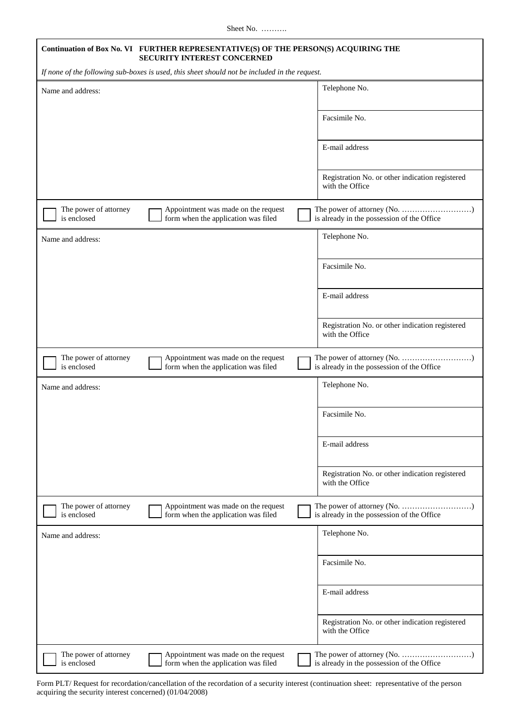| Continuation of Box No. VI FURTHER REPRESENTATIVE(S) OF THE PERSON(S) ACQUIRING THE<br>SECURITY INTEREST CONCERNED |                                                                    |  |
|--------------------------------------------------------------------------------------------------------------------|--------------------------------------------------------------------|--|
| If none of the following sub-boxes is used, this sheet should not be included in the request.                      |                                                                    |  |
| Name and address:                                                                                                  | Telephone No.                                                      |  |
|                                                                                                                    | Facsimile No.                                                      |  |
|                                                                                                                    | E-mail address                                                     |  |
|                                                                                                                    | Registration No. or other indication registered<br>with the Office |  |
| The power of attorney<br>Appointment was made on the request<br>is enclosed<br>form when the application was filed | is already in the possession of the Office                         |  |
| Name and address:                                                                                                  | Telephone No.                                                      |  |
|                                                                                                                    | Facsimile No.                                                      |  |
|                                                                                                                    | E-mail address                                                     |  |
|                                                                                                                    | Registration No. or other indication registered<br>with the Office |  |
| Appointment was made on the request<br>The power of attorney<br>is enclosed<br>form when the application was filed | is already in the possession of the Office                         |  |
| Name and address:                                                                                                  | Telephone No.                                                      |  |
|                                                                                                                    | Facsimile No.                                                      |  |
|                                                                                                                    | E-mail address                                                     |  |
|                                                                                                                    | Registration No. or other indication registered<br>with the Office |  |
| The power of attorney<br>Appointment was made on the request<br>is enclosed<br>form when the application was filed | is already in the possession of the Office                         |  |
| Name and address:                                                                                                  | Telephone No.                                                      |  |
|                                                                                                                    | Facsimile No.                                                      |  |
|                                                                                                                    | E-mail address                                                     |  |
|                                                                                                                    | Registration No. or other indication registered<br>with the Office |  |
| Appointment was made on the request<br>The power of attorney<br>is enclosed<br>form when the application was filed | is already in the possession of the Office                         |  |

Form PLT/ Request for recordation/cancellation of the recordation of a security interest (continuation sheet: representative of the person acquiring the security interest concerned) (01/04/2008)

H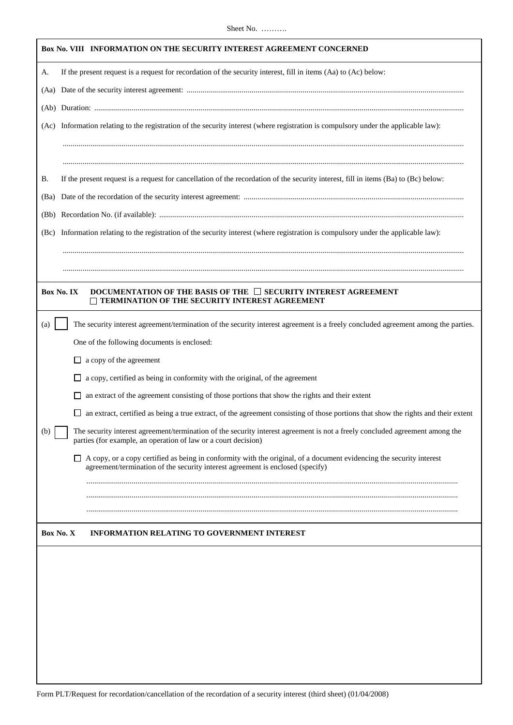|            | Box No. VIII INFORMATION ON THE SECURITY INTEREST AGREEMENT CONCERNED                                                                                                                                  |  |
|------------|--------------------------------------------------------------------------------------------------------------------------------------------------------------------------------------------------------|--|
| A.         | If the present request is a request for recordation of the security interest, fill in items (Aa) to (Ac) below:                                                                                        |  |
|            |                                                                                                                                                                                                        |  |
|            |                                                                                                                                                                                                        |  |
|            | (Ac) Information relating to the registration of the security interest (where registration is compulsory under the applicable law):                                                                    |  |
|            |                                                                                                                                                                                                        |  |
|            |                                                                                                                                                                                                        |  |
| В.         | If the present request is a request for cancellation of the recordation of the security interest, fill in items (Ba) to (Bc) below:                                                                    |  |
| (Ba)       |                                                                                                                                                                                                        |  |
|            |                                                                                                                                                                                                        |  |
|            | (Bc) Information relating to the registration of the security interest (where registration is compulsory under the applicable law):                                                                    |  |
|            |                                                                                                                                                                                                        |  |
|            |                                                                                                                                                                                                        |  |
| Box No. IX | DOCUMENTATION OF THE BASIS OF THE $\Box$ SECURITY INTEREST AGREEMENT<br><b>TERMINATION OF THE SECURITY INTEREST AGREEMENT</b>                                                                          |  |
| (a)        | The security interest agreement/termination of the security interest agreement is a freely concluded agreement among the parties.                                                                      |  |
|            | One of the following documents is enclosed:                                                                                                                                                            |  |
|            | $\Box$ a copy of the agreement                                                                                                                                                                         |  |
|            | a copy, certified as being in conformity with the original, of the agreement                                                                                                                           |  |
|            | an extract of the agreement consisting of those portions that show the rights and their extent                                                                                                         |  |
|            | an extract, certified as being a true extract, of the agreement consisting of those portions that show the rights and their extent                                                                     |  |
| (b)        | The security interest agreement/termination of the security interest agreement is not a freely concluded agreement among the<br>parties (for example, an operation of law or a court decision)         |  |
|            | A copy, or a copy certified as being in conformity with the original, of a document evidencing the security interest<br>agreement/termination of the security interest agreement is enclosed (specify) |  |
|            |                                                                                                                                                                                                        |  |
|            |                                                                                                                                                                                                        |  |
| Box No. X  | <b>INFORMATION RELATING TO GOVERNMENT INTEREST</b>                                                                                                                                                     |  |
|            |                                                                                                                                                                                                        |  |
|            |                                                                                                                                                                                                        |  |
|            |                                                                                                                                                                                                        |  |
|            |                                                                                                                                                                                                        |  |
|            |                                                                                                                                                                                                        |  |
|            |                                                                                                                                                                                                        |  |
|            |                                                                                                                                                                                                        |  |
|            |                                                                                                                                                                                                        |  |